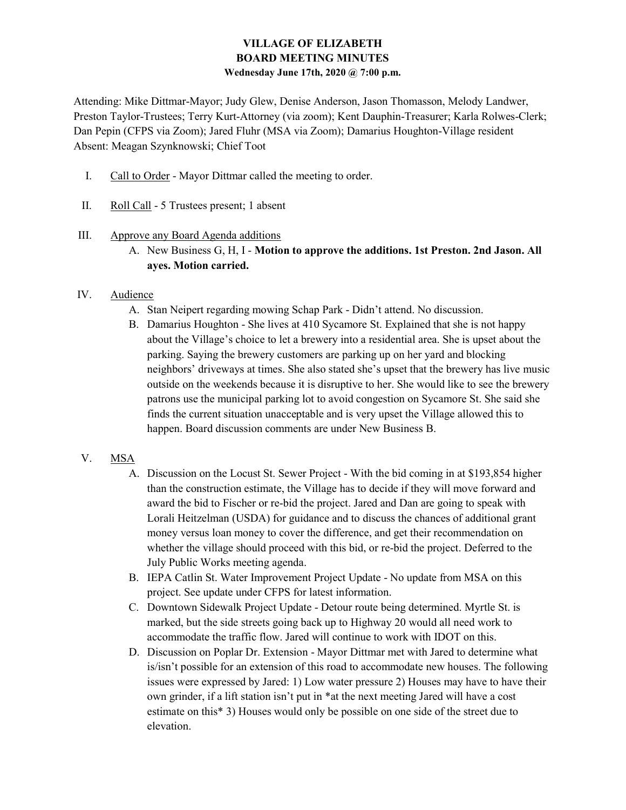## VILLAGE OF ELIZABETH BOARD MEETING MINUTES Wednesday June 17th, 2020 @ 7:00 p.m.

Attending: Mike Dittmar-Mayor; Judy Glew, Denise Anderson, Jason Thomasson, Melody Landwer, Preston Taylor-Trustees; Terry Kurt-Attorney (via zoom); Kent Dauphin-Treasurer; Karla Rolwes-Clerk; Dan Pepin (CFPS via Zoom); Jared Fluhr (MSA via Zoom); Damarius Houghton-Village resident Absent: Meagan Szynknowski; Chief Toot

- I. Call to Order Mayor Dittmar called the meeting to order.
- II. Roll Call 5 Trustees present; 1 absent

#### III. Approve any Board Agenda additions

A. New Business G, H, I - Motion to approve the additions. 1st Preston. 2nd Jason. All ayes. Motion carried.

### IV. Audience

- A. Stan Neipert regarding mowing Schap Park Didn't attend. No discussion.
- B. Damarius Houghton She lives at 410 Sycamore St. Explained that she is not happy about the Village's choice to let a brewery into a residential area. She is upset about the parking. Saying the brewery customers are parking up on her yard and blocking neighbors' driveways at times. She also stated she's upset that the brewery has live music outside on the weekends because it is disruptive to her. She would like to see the brewery patrons use the municipal parking lot to avoid congestion on Sycamore St. She said she finds the current situation unacceptable and is very upset the Village allowed this to happen. Board discussion comments are under New Business B.

## V. MSA

- A. Discussion on the Locust St. Sewer Project With the bid coming in at \$193,854 higher than the construction estimate, the Village has to decide if they will move forward and award the bid to Fischer or re-bid the project. Jared and Dan are going to speak with Lorali Heitzelman (USDA) for guidance and to discuss the chances of additional grant money versus loan money to cover the difference, and get their recommendation on whether the village should proceed with this bid, or re-bid the project. Deferred to the July Public Works meeting agenda.
- B. IEPA Catlin St. Water Improvement Project Update No update from MSA on this project. See update under CFPS for latest information.
- C. Downtown Sidewalk Project Update Detour route being determined. Myrtle St. is marked, but the side streets going back up to Highway 20 would all need work to accommodate the traffic flow. Jared will continue to work with IDOT on this.
- D. Discussion on Poplar Dr. Extension Mayor Dittmar met with Jared to determine what is/isn't possible for an extension of this road to accommodate new houses. The following issues were expressed by Jared: 1) Low water pressure 2) Houses may have to have their own grinder, if a lift station isn't put in \*at the next meeting Jared will have a cost estimate on this\* 3) Houses would only be possible on one side of the street due to elevation.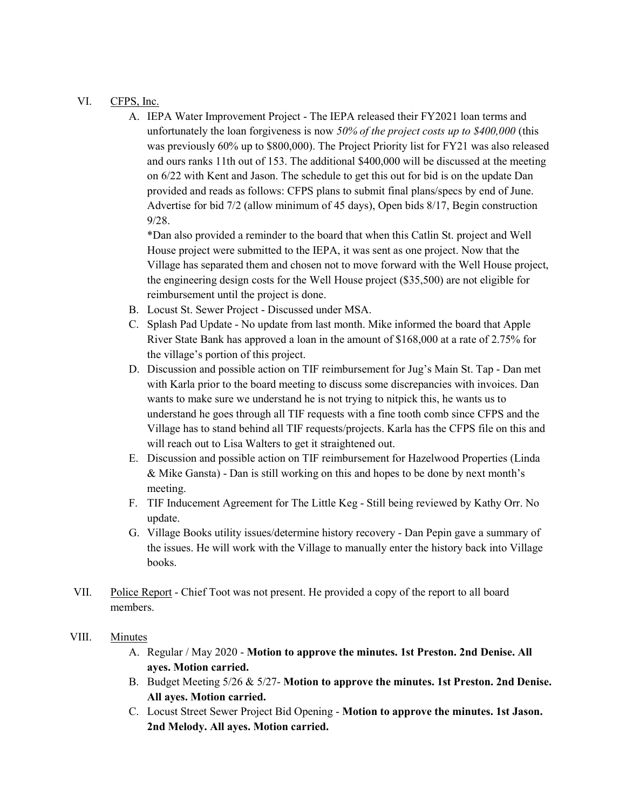# VI. CFPS, Inc.

A. IEPA Water Improvement Project - The IEPA released their FY2021 loan terms and unfortunately the loan forgiveness is now 50% of the project costs up to \$400,000 (this was previously 60% up to \$800,000). The Project Priority list for FY21 was also released and ours ranks 11th out of 153. The additional \$400,000 will be discussed at the meeting on 6/22 with Kent and Jason. The schedule to get this out for bid is on the update Dan provided and reads as follows: CFPS plans to submit final plans/specs by end of June. Advertise for bid 7/2 (allow minimum of 45 days), Open bids 8/17, Begin construction 9/28.

\*Dan also provided a reminder to the board that when this Catlin St. project and Well House project were submitted to the IEPA, it was sent as one project. Now that the Village has separated them and chosen not to move forward with the Well House project, the engineering design costs for the Well House project (\$35,500) are not eligible for reimbursement until the project is done.

- B. Locust St. Sewer Project Discussed under MSA.
- C. Splash Pad Update No update from last month. Mike informed the board that Apple River State Bank has approved a loan in the amount of \$168,000 at a rate of 2.75% for the village's portion of this project.
- D. Discussion and possible action on TIF reimbursement for Jug's Main St. Tap Dan met with Karla prior to the board meeting to discuss some discrepancies with invoices. Dan wants to make sure we understand he is not trying to nitpick this, he wants us to understand he goes through all TIF requests with a fine tooth comb since CFPS and the Village has to stand behind all TIF requests/projects. Karla has the CFPS file on this and will reach out to Lisa Walters to get it straightened out.
- E. Discussion and possible action on TIF reimbursement for Hazelwood Properties (Linda & Mike Gansta) - Dan is still working on this and hopes to be done by next month's meeting.
- F. TIF Inducement Agreement for The Little Keg Still being reviewed by Kathy Orr. No update.
- G. Village Books utility issues/determine history recovery Dan Pepin gave a summary of the issues. He will work with the Village to manually enter the history back into Village books.
- VII. Police Report Chief Toot was not present. He provided a copy of the report to all board members.

#### VIII. Minutes

- A. Regular / May 2020 Motion to approve the minutes. 1st Preston. 2nd Denise. All ayes. Motion carried.
- B. Budget Meeting 5/26 & 5/27- Motion to approve the minutes. 1st Preston. 2nd Denise. All ayes. Motion carried.
- C. Locust Street Sewer Project Bid Opening Motion to approve the minutes. 1st Jason. 2nd Melody. All ayes. Motion carried.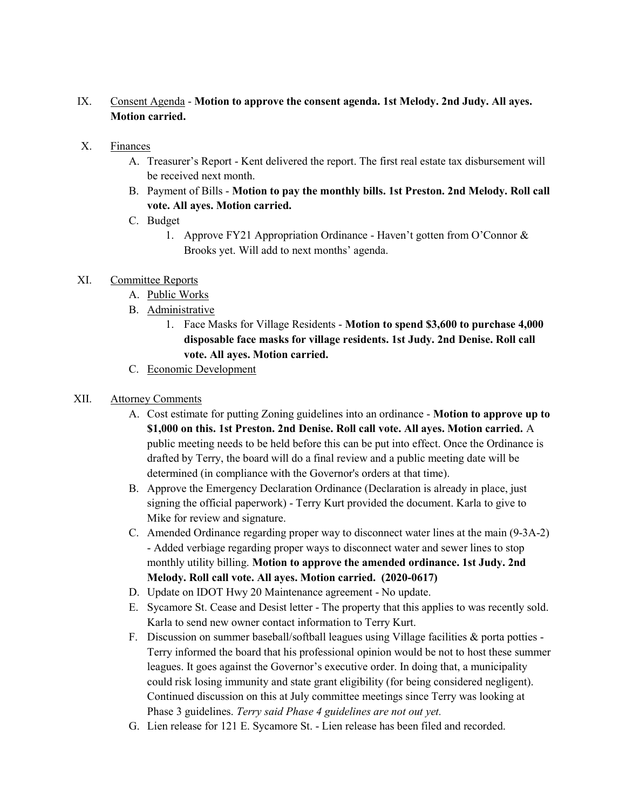# IX. Consent Agenda - Motion to approve the consent agenda. 1st Melody. 2nd Judy. All ayes. Motion carried.

### X. Finances

- A. Treasurer's Report Kent delivered the report. The first real estate tax disbursement will be received next month.
- B. Payment of Bills Motion to pay the monthly bills. 1st Preston. 2nd Melody. Roll call vote. All ayes. Motion carried.
- C. Budget
	- 1. Approve FY21 Appropriation Ordinance Haven't gotten from O'Connor & Brooks yet. Will add to next months' agenda.

# XI. Committee Reports

- A. Public Works
- B. Administrative
	- 1. Face Masks for Village Residents Motion to spend \$3,600 to purchase 4,000 disposable face masks for village residents. 1st Judy. 2nd Denise. Roll call vote. All ayes. Motion carried.
- C. Economic Development

## XII. Attorney Comments

- A. Cost estimate for putting Zoning guidelines into an ordinance Motion to approve up to \$1,000 on this. 1st Preston. 2nd Denise. Roll call vote. All ayes. Motion carried. A public meeting needs to be held before this can be put into effect. Once the Ordinance is drafted by Terry, the board will do a final review and a public meeting date will be determined (in compliance with the Governor's orders at that time).
- B. Approve the Emergency Declaration Ordinance (Declaration is already in place, just signing the official paperwork) - Terry Kurt provided the document. Karla to give to Mike for review and signature.
- C. Amended Ordinance regarding proper way to disconnect water lines at the main (9-3A-2) - Added verbiage regarding proper ways to disconnect water and sewer lines to stop monthly utility billing. Motion to approve the amended ordinance. 1st Judy. 2nd Melody. Roll call vote. All ayes. Motion carried. (2020-0617)
- D. Update on IDOT Hwy 20 Maintenance agreement No update.
- E. Sycamore St. Cease and Desist letter The property that this applies to was recently sold. Karla to send new owner contact information to Terry Kurt.
- F. Discussion on summer baseball/softball leagues using Village facilities & porta potties Terry informed the board that his professional opinion would be not to host these summer leagues. It goes against the Governor's executive order. In doing that, a municipality could risk losing immunity and state grant eligibility (for being considered negligent). Continued discussion on this at July committee meetings since Terry was looking at Phase 3 guidelines. Terry said Phase 4 guidelines are not out yet.
- G. Lien release for 121 E. Sycamore St. Lien release has been filed and recorded.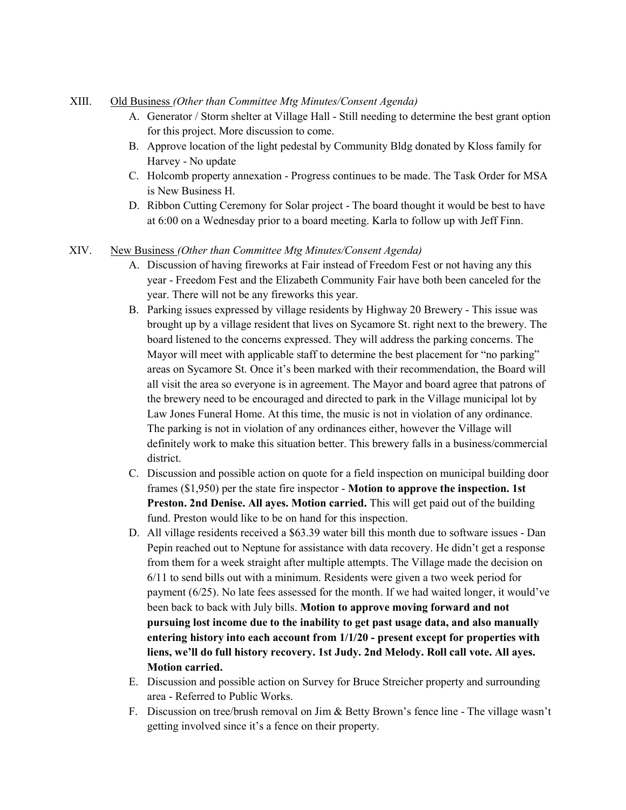### XIII. Old Business (Other than Committee Mtg Minutes/Consent Agenda)

- A. Generator / Storm shelter at Village Hall Still needing to determine the best grant option for this project. More discussion to come.
- B. Approve location of the light pedestal by Community Bldg donated by Kloss family for Harvey - No update
- C. Holcomb property annexation Progress continues to be made. The Task Order for MSA is New Business H.
- D. Ribbon Cutting Ceremony for Solar project The board thought it would be best to have at 6:00 on a Wednesday prior to a board meeting. Karla to follow up with Jeff Finn.

### XIV. New Business (Other than Committee Mtg Minutes/Consent Agenda)

- A. Discussion of having fireworks at Fair instead of Freedom Fest or not having any this year - Freedom Fest and the Elizabeth Community Fair have both been canceled for the year. There will not be any fireworks this year.
- B. Parking issues expressed by village residents by Highway 20 Brewery This issue was brought up by a village resident that lives on Sycamore St. right next to the brewery. The board listened to the concerns expressed. They will address the parking concerns. The Mayor will meet with applicable staff to determine the best placement for "no parking" areas on Sycamore St. Once it's been marked with their recommendation, the Board will all visit the area so everyone is in agreement. The Mayor and board agree that patrons of the brewery need to be encouraged and directed to park in the Village municipal lot by Law Jones Funeral Home. At this time, the music is not in violation of any ordinance. The parking is not in violation of any ordinances either, however the Village will definitely work to make this situation better. This brewery falls in a business/commercial district.
- C. Discussion and possible action on quote for a field inspection on municipal building door frames (\$1,950) per the state fire inspector - Motion to approve the inspection. 1st Preston. 2nd Denise. All ayes. Motion carried. This will get paid out of the building fund. Preston would like to be on hand for this inspection.
- D. All village residents received a \$63.39 water bill this month due to software issues Dan Pepin reached out to Neptune for assistance with data recovery. He didn't get a response from them for a week straight after multiple attempts. The Village made the decision on 6/11 to send bills out with a minimum. Residents were given a two week period for payment (6/25). No late fees assessed for the month. If we had waited longer, it would've been back to back with July bills. Motion to approve moving forward and not pursuing lost income due to the inability to get past usage data, and also manually entering history into each account from 1/1/20 - present except for properties with liens, we'll do full history recovery. 1st Judy. 2nd Melody. Roll call vote. All ayes. Motion carried.
- E. Discussion and possible action on Survey for Bruce Streicher property and surrounding area - Referred to Public Works.
- F. Discussion on tree/brush removal on Jim & Betty Brown's fence line The village wasn't getting involved since it's a fence on their property.